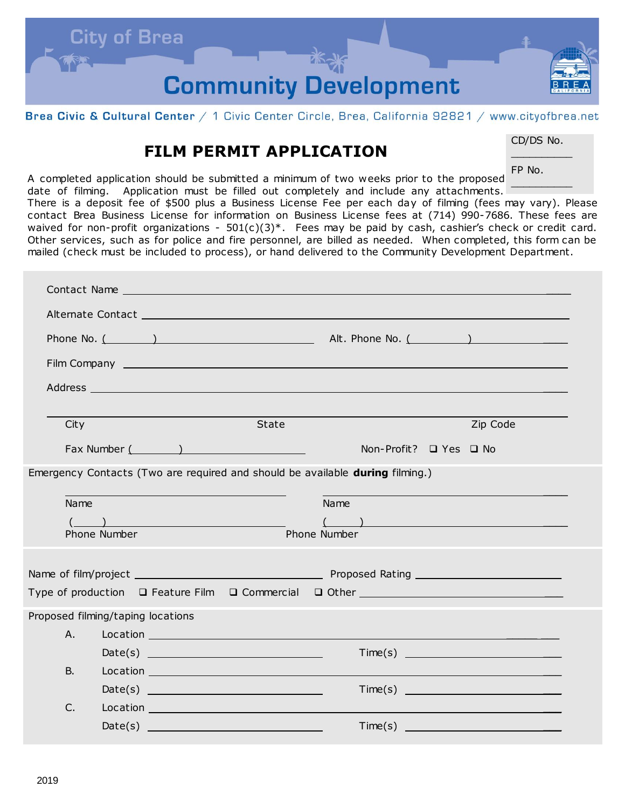

Brea Civic & Cultural Center / 1 Civic Center Circle, Brea, California 92821 / www.cityofbrea.net

## **FILM PERMIT APPLICATION**

CD/DS No.  $\mathcal{L}$  and  $\mathcal{L}$ 

 $\mathcal{L}$  and  $\mathcal{L}$ 

FP No.

A completed application should be submitted a minimum of two weeks prior to the proposed date of filming. Application must be filled out completely and include any attachments.

There is a deposit fee of \$500 plus a Business License Fee per each day of filming (fees may vary). Please contact Brea Business License for information on Business License fees at (714) 990-7686. These fees are waived for non-profit organizations -  $501(c)(3)^*$ . Fees may be paid by cash, cashier's check or credit card. Other services, such as for police and fire personnel, are billed as needed. When completed, this form can be mailed (check must be included to process), or hand delivered to the Community Development Department.

| Phone No. $($ $)$                                                             |                                                                                                                       |       |                                                                                                                                                                                                                                      |  |  |  |
|-------------------------------------------------------------------------------|-----------------------------------------------------------------------------------------------------------------------|-------|--------------------------------------------------------------------------------------------------------------------------------------------------------------------------------------------------------------------------------------|--|--|--|
|                                                                               | Film Company Lawrence and Company Lawrence and Company Lawrence and Company Lawrence and Company Lawrence and Company |       |                                                                                                                                                                                                                                      |  |  |  |
|                                                                               | Address and the contract of the contract of the contract of the contract of the contract of the contract of the       |       |                                                                                                                                                                                                                                      |  |  |  |
| City                                                                          |                                                                                                                       | State | Zip Code                                                                                                                                                                                                                             |  |  |  |
|                                                                               | Fax Number ( and )                                                                                                    |       | Non-Profit? □ Yes □ No                                                                                                                                                                                                               |  |  |  |
| Emergency Contacts (Two are required and should be available during filming.) |                                                                                                                       |       |                                                                                                                                                                                                                                      |  |  |  |
| Name<br>Name                                                                  |                                                                                                                       |       |                                                                                                                                                                                                                                      |  |  |  |
|                                                                               | $\left(\begin{array}{c} \begin{array}{c} \end{array}\\ \end{array}\right)$                                            |       | $\left(\begin{array}{cc} 1 & 1 \end{array}\right)$                                                                                                                                                                                   |  |  |  |
| Phone Number<br>Phone Number                                                  |                                                                                                                       |       |                                                                                                                                                                                                                                      |  |  |  |
|                                                                               |                                                                                                                       |       |                                                                                                                                                                                                                                      |  |  |  |
|                                                                               |                                                                                                                       |       |                                                                                                                                                                                                                                      |  |  |  |
|                                                                               |                                                                                                                       |       |                                                                                                                                                                                                                                      |  |  |  |
| Proposed filming/taping locations                                             |                                                                                                                       |       |                                                                                                                                                                                                                                      |  |  |  |
| A.                                                                            |                                                                                                                       |       | Location <b>Executive Contract Contract Contract Contract Contract Contract Contract Contract Contract Contract Contract Contract Contract Contract Contract Contract Contract Contract Contract Contract Contract Contract Cont</b> |  |  |  |
|                                                                               |                                                                                                                       |       |                                                                                                                                                                                                                                      |  |  |  |
| <b>B.</b>                                                                     |                                                                                                                       |       |                                                                                                                                                                                                                                      |  |  |  |
|                                                                               |                                                                                                                       |       |                                                                                                                                                                                                                                      |  |  |  |
| C.                                                                            |                                                                                                                       |       |                                                                                                                                                                                                                                      |  |  |  |
|                                                                               |                                                                                                                       |       |                                                                                                                                                                                                                                      |  |  |  |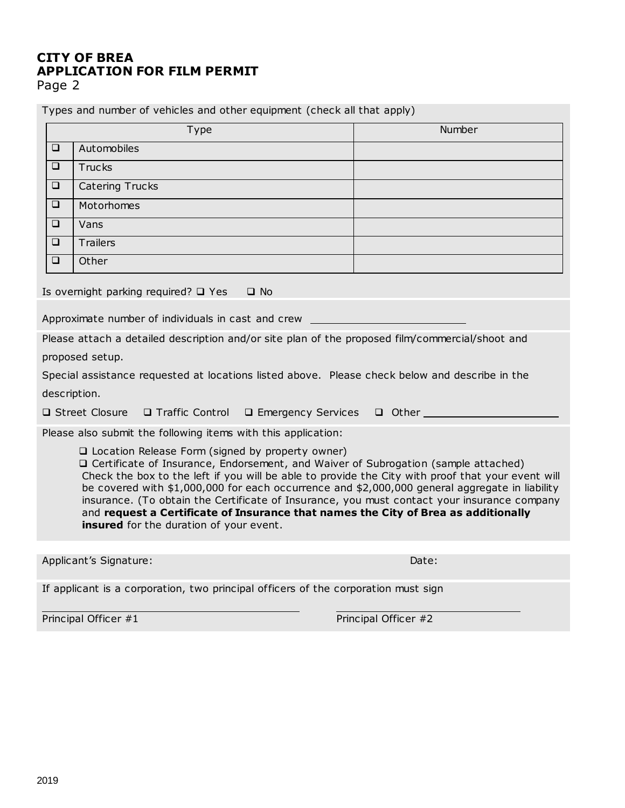## **CITY OF BREA APPLICATION FOR FILM PERMIT**

Page 2

Types and number of vehicles and other equipment (check all that apply)

|                                                                                                                                                                                                                                                                                                                                                                                                                                                                                                                                                                                   | Type                                                                               | Number |  |  |
|-----------------------------------------------------------------------------------------------------------------------------------------------------------------------------------------------------------------------------------------------------------------------------------------------------------------------------------------------------------------------------------------------------------------------------------------------------------------------------------------------------------------------------------------------------------------------------------|------------------------------------------------------------------------------------|--------|--|--|
| $\Box$                                                                                                                                                                                                                                                                                                                                                                                                                                                                                                                                                                            | Automobiles                                                                        |        |  |  |
| $\Box$                                                                                                                                                                                                                                                                                                                                                                                                                                                                                                                                                                            | <b>Trucks</b>                                                                      |        |  |  |
| $\Box$                                                                                                                                                                                                                                                                                                                                                                                                                                                                                                                                                                            | <b>Catering Trucks</b>                                                             |        |  |  |
| $\Box$                                                                                                                                                                                                                                                                                                                                                                                                                                                                                                                                                                            | Motorhomes                                                                         |        |  |  |
| $\Box$                                                                                                                                                                                                                                                                                                                                                                                                                                                                                                                                                                            | Vans                                                                               |        |  |  |
| ❏                                                                                                                                                                                                                                                                                                                                                                                                                                                                                                                                                                                 | <b>Trailers</b>                                                                    |        |  |  |
| $\Box$                                                                                                                                                                                                                                                                                                                                                                                                                                                                                                                                                                            | Other                                                                              |        |  |  |
| Is overnight parking required? $\Box$ Yes<br>$\Box$ No                                                                                                                                                                                                                                                                                                                                                                                                                                                                                                                            |                                                                                    |        |  |  |
| Approximate number of individuals in cast and crew                                                                                                                                                                                                                                                                                                                                                                                                                                                                                                                                |                                                                                    |        |  |  |
| Please attach a detailed description and/or site plan of the proposed film/commercial/shoot and                                                                                                                                                                                                                                                                                                                                                                                                                                                                                   |                                                                                    |        |  |  |
| proposed setup.                                                                                                                                                                                                                                                                                                                                                                                                                                                                                                                                                                   |                                                                                    |        |  |  |
| Special assistance requested at locations listed above. Please check below and describe in the                                                                                                                                                                                                                                                                                                                                                                                                                                                                                    |                                                                                    |        |  |  |
| description.                                                                                                                                                                                                                                                                                                                                                                                                                                                                                                                                                                      |                                                                                    |        |  |  |
| □ Street Closure<br>$\Box$ Traffic Control $\Box$ Emergency Services $\Box$ Other                                                                                                                                                                                                                                                                                                                                                                                                                                                                                                 |                                                                                    |        |  |  |
|                                                                                                                                                                                                                                                                                                                                                                                                                                                                                                                                                                                   | Please also submit the following items with this application:                      |        |  |  |
| □ Location Release Form (signed by property owner)<br>□ Certificate of Insurance, Endorsement, and Waiver of Subrogation (sample attached)<br>Check the box to the left if you will be able to provide the City with proof that your event will<br>be covered with \$1,000,000 for each occurrence and \$2,000,000 general aggregate in liability<br>insurance. (To obtain the Certificate of Insurance, you must contact your insurance company<br>and request a Certificate of Insurance that names the City of Brea as additionally<br>insured for the duration of your event. |                                                                                    |        |  |  |
|                                                                                                                                                                                                                                                                                                                                                                                                                                                                                                                                                                                   |                                                                                    |        |  |  |
|                                                                                                                                                                                                                                                                                                                                                                                                                                                                                                                                                                                   | Applicant's Signature:<br>Date:                                                    |        |  |  |
|                                                                                                                                                                                                                                                                                                                                                                                                                                                                                                                                                                                   | If applicant is a corporation, two principal officers of the corporation must sign |        |  |  |

Principal Officer #1 Principal Officer #2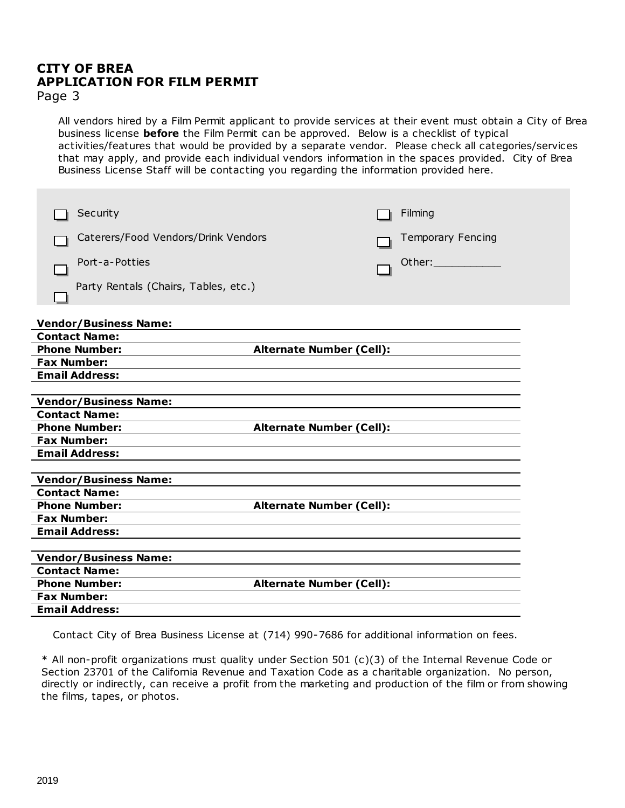## **CITY OF BREA APPLICATION FOR FILM PERMIT**

Page 3

All vendors hired by a Film Permit applicant to provide services at their event must obtain a City of Brea business license **before** the Film Permit can be approved. Below is a checklist of typical activities/features that would be provided by a separate vendor. Please check all categories/services that may apply, and provide each individual vendors information in the spaces provided. City of Brea Business License Staff will be contacting you regarding the information provided here.

| Security                             |                                 | Filming                                           |
|--------------------------------------|---------------------------------|---------------------------------------------------|
| Caterers/Food Vendors/Drink Vendors  |                                 | <b>Temporary Fencing</b>                          |
| Port-a-Potties                       |                                 | Other: a controller and controller and controller |
| Party Rentals (Chairs, Tables, etc.) |                                 |                                                   |
|                                      |                                 |                                                   |
| <b>Vendor/Business Name:</b>         |                                 |                                                   |
| <b>Contact Name:</b>                 |                                 |                                                   |
| <b>Phone Number:</b>                 | <b>Alternate Number (Cell):</b> |                                                   |
| <b>Fax Number:</b>                   |                                 |                                                   |
| <b>Email Address:</b>                |                                 |                                                   |
|                                      |                                 |                                                   |
| <b>Vendor/Business Name:</b>         |                                 |                                                   |
| <b>Contact Name:</b>                 |                                 |                                                   |
| <b>Phone Number:</b>                 | <b>Alternate Number (Cell):</b> |                                                   |
| <b>Fax Number:</b>                   |                                 |                                                   |
| <b>Email Address:</b>                |                                 |                                                   |
|                                      |                                 |                                                   |
| <b>Vendor/Business Name:</b>         |                                 |                                                   |
| <b>Contact Name:</b>                 |                                 |                                                   |
| <b>Phone Number:</b>                 | <b>Alternate Number (Cell):</b> |                                                   |
| <b>Fax Number:</b>                   |                                 |                                                   |
| <b>Email Address:</b>                |                                 |                                                   |
|                                      |                                 |                                                   |
| <b>Vendor/Business Name:</b>         |                                 |                                                   |
| <b>Contact Name:</b>                 |                                 |                                                   |
| <b>Phone Number:</b>                 | <b>Alternate Number (Cell):</b> |                                                   |
| <b>Fax Number:</b>                   |                                 |                                                   |
| <b>Email Address:</b>                |                                 |                                                   |

Contact City of Brea Business License at (714) 990-7686 for additional information on fees.

\* All non-profit organizations must quality under Section 501 (c)(3) of the Internal Revenue Code or Section 23701 of the California Revenue and Taxation Code as a charitable organization. No person, directly or indirectly, can receive a profit from the marketing and production of the film or from showing the films, tapes, or photos.